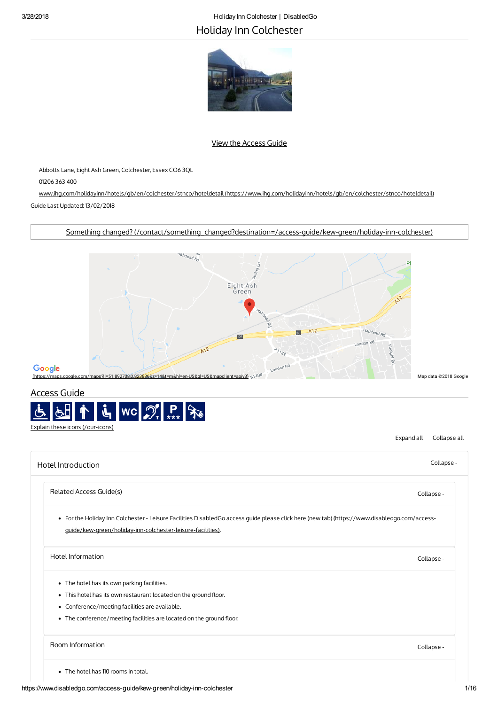# 3/28/2018 HolidayInn Colchester | DisabledGo Holiday Inn Colchester



## View the [Access](#page-0-0) Guide

Abbotts Lane, Eight Ash Green, Colchester, Essex CO6 3QL

01206 363 400

www.ihg.com/holidayinn/hotels/gb/en/colchester/stnco/hoteldetail [\(https://www.ihg.com/holidayinn/hotels/gb/en/colchester/stnco/hoteldetail\)](https://www.ihg.com/holidayinn/hotels/gb/en/colchester/stnco/hoteldetail) Guide Last Updated: 13/02/2018

Something changed? [\(/contact/something\\_changed?destination=/access-guide/kew-green/holiday-inn-colchester\)](https://www.disabledgo.com/contact/something_changed?destination=/access-guide/kew-green/holiday-inn-colchester)



# <span id="page-0-0"></span>Access Guide



Expand all Collapse all

<span id="page-0-4"></span><span id="page-0-3"></span><span id="page-0-2"></span><span id="page-0-1"></span>

| Hotel Introduction                                                                                                                                                                                           | Collapse - |
|--------------------------------------------------------------------------------------------------------------------------------------------------------------------------------------------------------------|------------|
| Related Access Guide(s)                                                                                                                                                                                      | Collapse - |
| · For the Holiday Inn Colchester - Leisure Facilities DisabledGo access guide please click here (new tab) (https://www.disabledgo.com/access-<br>guide/kew-green/holiday-inn-colchester-leisure-facilities). |            |
| Hotel Information                                                                                                                                                                                            | Collapse - |
| • The hotel has its own parking facilities.                                                                                                                                                                  |            |
| • This hotel has its own restaurant located on the ground floor.                                                                                                                                             |            |
| • Conference/meeting facilities are available.                                                                                                                                                               |            |
| • The conference/meeting facilities are located on the ground floor.                                                                                                                                         |            |
| Room Information                                                                                                                                                                                             | Collapse - |
| • The hotel has 110 rooms in total.                                                                                                                                                                          |            |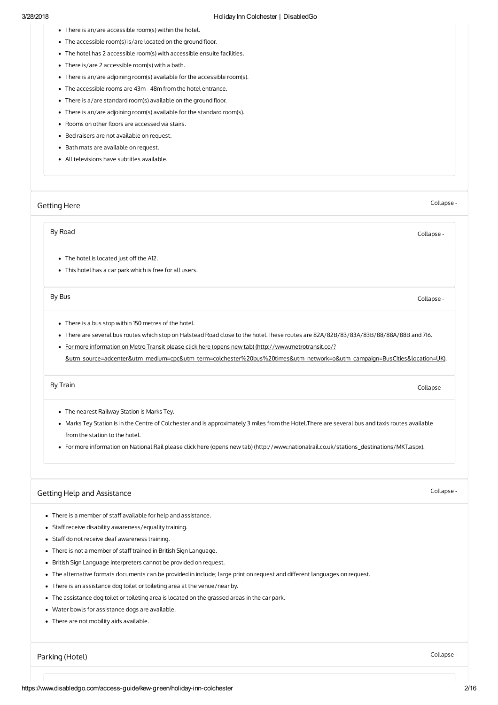- There is an/are accessible room(s) within the hotel.
- The accessible room(s) is/are located on the ground floor.
- The hotel has 2 accessible room(s) with accessible ensuite facilities.
- There is/are 2 accessible room(s) with a bath.
- There is an/are adjoining room(s) available for the accessible room(s).
- The accessible rooms are 43m -48m from the hotel entrance.
- $\bullet$  There is a/are standard room(s) available on the ground floor.
- There is an/are adjoining room(s) available for the standard room(s).
- Rooms on other floors are accessed via stairs.
- Bed raisers are not available on request.
- Bath mats are available on request.
- All televisions have subtitles available.

#### <span id="page-1-0"></span>[Getting](#page-1-0) Here

Collapse -

By Road [Collapse](#page-1-3) -

- <span id="page-1-3"></span>• The hotel is located just off the A12.
- This hotel has a car park which is free for all users.

By Bus [Collapse](#page-1-4) -

- <span id="page-1-4"></span>There is a bus stop within 150 metres of the hotel.
- There are several bus routes which stop on Halstead Road close to the hotel.These routes are 82A/82B/83/83A/83B/88/88A/88B and 716.
- For more information on Metro Transit please click here (opens new tab) (http://www.metrotransit.co/?

[&utm\\_source=adcenter&utm\\_medium=cpc&utm\\_term=colchester%20bus%20times&utm\\_network=o&utm\\_campaign=BusCities&location=UK\)](http://www.metrotransit.co/?&utm_source=adcenter&utm_medium=cpc&utm_term=colchester%20bus%20times&utm_network=o&utm_campaign=BusCities&location=UK).

By Train [Collapse](#page-1-5) -

- <span id="page-1-5"></span>• The nearest Railway Station is Marks Tey.
- Marks Tey Station is in the Centre of Colchester and is approximately 3 miles from the Hotel.There are several bus and taxis routes available from the station to the hotel.
- For more information on National Rail please click here (opens new tab) [\(http://www.nationalrail.co.uk/stations\\_destinations/MKT.aspx\)](http://www.nationalrail.co.uk/stations_destinations/MKT.aspx).

#### <span id="page-1-1"></span>Getting Help and [Assistance](#page-1-1)

Collapse -

- There is a member of staff available for help and assistance.
- Staff receive disability awareness/equality training.
- Staff do not receive deaf awareness training.
- There is not a member of staff trained in British Sign Language.
- British Sign Language interpreters cannot be provided on request.
- The alternative formats documents can be provided in include; large print on request and different languages on request.
- There is an assistance dog toilet or toileting area at the venue/near by.
- The assistance dog toilet or toileting area is located on the grassed areas in the car park.
- Water bowls for assistance dogs are available.
- There are not mobility aids available.

<span id="page-1-2"></span>[Parking](#page-1-2) (Hotel) Collapse -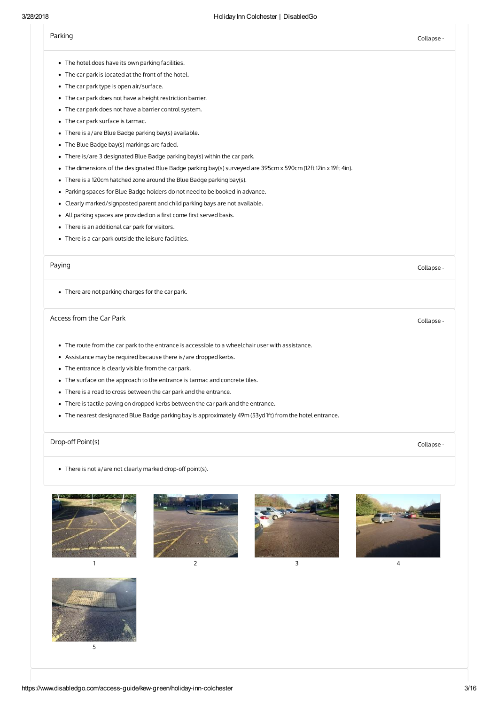<span id="page-2-0"></span>

| 3/28/2018 | Holiday Inn Colchester   DisabledGo                                                                             |            |  |  |  |
|-----------|-----------------------------------------------------------------------------------------------------------------|------------|--|--|--|
|           | Parking                                                                                                         | Collapse - |  |  |  |
|           | • The hotel does have its own parking facilities.                                                               |            |  |  |  |
|           | • The car park is located at the front of the hotel.                                                            |            |  |  |  |
|           | • The car park type is open air/surface.                                                                        |            |  |  |  |
|           | • The car park does not have a height restriction barrier.                                                      |            |  |  |  |
|           | • The car park does not have a barrier control system.                                                          |            |  |  |  |
|           | • The car park surface is tarmac.                                                                               |            |  |  |  |
|           | • There is a/are Blue Badge parking bay(s) available.                                                           |            |  |  |  |
|           | • The Blue Badge bay(s) markings are faded.                                                                     |            |  |  |  |
|           | • There is/are 3 designated Blue Badge parking bay(s) within the car park.                                      |            |  |  |  |
|           | • The dimensions of the designated Blue Badge parking bay(s) surveyed are 395cm x 590cm (12ft 12in x 19ft 4in). |            |  |  |  |
|           | • There is a 120cm hatched zone around the Blue Badge parking bay(s).                                           |            |  |  |  |
|           | • Parking spaces for Blue Badge holders do not need to be booked in advance.                                    |            |  |  |  |
|           | • Clearly marked/signposted parent and child parking bays are not available.                                    |            |  |  |  |
|           | • All parking spaces are provided on a first come first served basis.                                           |            |  |  |  |
|           | • There is an additional car park for visitors.                                                                 |            |  |  |  |
|           | • There is a car park outside the leisure facilities.                                                           |            |  |  |  |
|           | Paying                                                                                                          | Collapse - |  |  |  |
|           | • There are not parking charges for the car park.                                                               |            |  |  |  |
|           | Access from the Car Park                                                                                        | Collapse - |  |  |  |
|           | • The route from the car park to the entrance is accessible to a wheelchair user with assistance.               |            |  |  |  |
|           | • Assistance may be required because there is/are dropped kerbs.                                                |            |  |  |  |
|           | • The entrance is clearly visible from the car park.                                                            |            |  |  |  |
|           | • The surface on the approach to the entrance is tarmac and concrete tiles.                                     |            |  |  |  |
|           | • There is a road to cross between the car park and the entrance.                                               |            |  |  |  |

- <span id="page-2-2"></span><span id="page-2-1"></span>There is tactile paving on dropped kerbs between the car park and the entrance.
- The nearest designated Blue Badge parking bay is approximately 49m (53yd 1ft) from the hotel entrance.

# Drop-off Point(s) Collapse -

<span id="page-2-3"></span> $\bullet$  There is not a/are not clearly marked drop-off point(s).









1 and  $\begin{array}{ccc} 2 & 3 & 4 \end{array}$ 

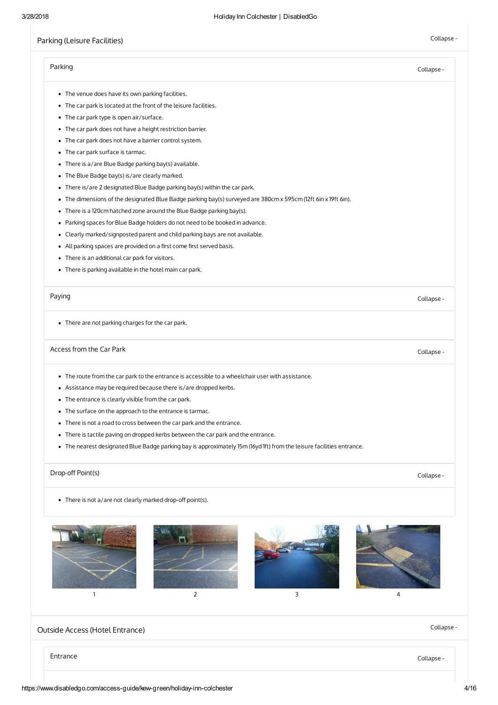# Parking (Leisure [Facilities\)](#page-3-0) Collapse - Collapse - Collapse - Collapse - Collapse -

<span id="page-3-6"></span><span id="page-3-5"></span><span id="page-3-4"></span><span id="page-3-3"></span><span id="page-3-2"></span><span id="page-3-1"></span><span id="page-3-0"></span>

|                                                                                                                       | Collapse - |  |  |  |
|-----------------------------------------------------------------------------------------------------------------------|------------|--|--|--|
| • The venue does have its own parking facilities.                                                                     |            |  |  |  |
| • The car park is located at the front of the leisure facilities.                                                     |            |  |  |  |
| • The car park type is open air/surface.                                                                              |            |  |  |  |
| • The car park does not have a height restriction barrier.                                                            |            |  |  |  |
| • The car park does not have a barrier control system.                                                                |            |  |  |  |
| • The car park surface is tarmac.                                                                                     |            |  |  |  |
| • There is a/are Blue Badge parking bay(s) available.                                                                 |            |  |  |  |
| • The Blue Badge bay(s) is/are clearly marked.                                                                        |            |  |  |  |
| • There is/are 2 designated Blue Badge parking bay(s) within the car park.                                            |            |  |  |  |
| • The dimensions of the designated Blue Badge parking bay(s) surveyed are 380cm x 595cm (12ft 6in x 19ft 6in).        |            |  |  |  |
| • There is a 120cm hatched zone around the Blue Badge parking bay(s).                                                 |            |  |  |  |
| • Parking spaces for Blue Badge holders do not need to be booked in advance.                                          |            |  |  |  |
| • Clearly marked/signposted parent and child parking bays are not available.                                          |            |  |  |  |
| • All parking spaces are provided on a first come first served basis.                                                 |            |  |  |  |
| • There is an additional car park for visitors.                                                                       |            |  |  |  |
| • There is parking available in the hotel main car park.                                                              |            |  |  |  |
| Paying                                                                                                                | Collapse - |  |  |  |
| • There are not parking charges for the car park.                                                                     |            |  |  |  |
| Access from the Car Park                                                                                              | Collapse - |  |  |  |
| • The route from the car park to the entrance is accessible to a wheelchair user with assistance.                     |            |  |  |  |
| • Assistance may be required because there is/are dropped kerbs.                                                      |            |  |  |  |
| • The entrance is clearly visible from the car park.                                                                  |            |  |  |  |
| • The surface on the approach to the entrance is tarmac.                                                              |            |  |  |  |
| • There is not a road to cross between the car park and the entrance.                                                 |            |  |  |  |
| • There is tactile paving on dropped kerbs between the car park and the entrance.                                     |            |  |  |  |
| • The nearest designated Blue Badge parking bay is approximately 15m (16yd 1ft) from the leisure facilities entrance. |            |  |  |  |
| Drop-off Point(s)                                                                                                     | Collapse - |  |  |  |
| • There is not a/are not clearly marked drop-off point(s).                                                            |            |  |  |  |
| $\overline{2}$<br>3<br>$\mathbf{1}$                                                                                   | 4          |  |  |  |
|                                                                                                                       | Collapse - |  |  |  |
| Outside Access (Hotel Entrance)                                                                                       |            |  |  |  |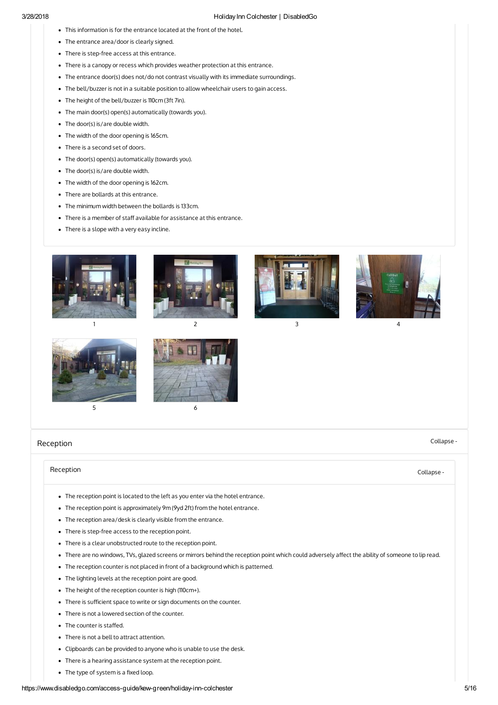- This information is for the entrance located at the front of the hotel.
- The entrance area/door is clearly signed.
- There is step-free access at this entrance.
- There is a canopy or recess which provides weather protection at this entrance.
- The entrance door(s) does not/do not contrast visually with its immediate surroundings.
- The bell/buzzer is not in a suitable position to allow wheelchair users to gain access.
- The height of the bell/buzzer is 110cm (3ft 7in).
- The main door(s) open(s) automatically (towards you).
- The door(s) is/are double width.
- The width of the door opening is 165cm.
- There is a second set of doors.
- The door(s) open(s) automatically (towards you).
- The door(s) is/are double width.
- The width of the door opening is 162cm.
- There are bollards at this entrance.
- The minimum width between the bollards is 133cm.
- There is a member of staff available for assistance at this entrance.
- There is a slope with a very easy incline.











# $5\overline{6}$

<span id="page-4-0"></span>[Reception](#page-4-0)

#### Collapse -

### [Reception](#page-4-1) Collapse -

- <span id="page-4-1"></span>The reception point is located to the left as you enter via the hotel entrance.
- The reception point is approximately 9m (9yd 2ft) from the hotel entrance.
- The reception area/desk is clearly visible from the entrance.
- There is step-free access to the reception point.
- There is a clear unobstructed route to the reception point.
- . There are no windows, TVs, glazed screens or mirrors behind the reception point which could adversely affect the ability of someone to lip read.
- The reception counter is not placed in front of a background which is patterned.
- The lighting levels at the reception point are good.
- The height of the reception counter is high (110cm+).
- There is sufficient space to write or sign documents on the counter.
- There is not a lowered section of the counter.
- The counter is staffed.
- There is not a bell to attract attention.
- Clipboards can be provided to anyone who is unable to use the desk.
- There is a hearing assistance system at the reception point.
- $\bullet$  The type of system is a fixed loop.

#### https://www.disabledgo.com/access-guide/kew-green/holiday-inn-colchester 5/16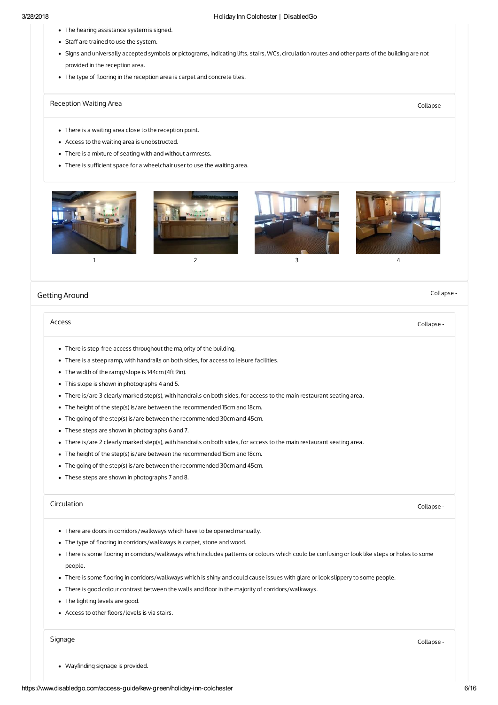- The hearing assistance system is signed.
- Staff are trained to use the system.
- Signs and universally accepted symbols or pictograms, indicating lifts, stairs, WCs, circulation routes and other parts of the building are not provided in the reception area.
- The type of flooring in the reception area is carpet and concrete tiles.

# [Reception](#page-5-1) Waiting Area **Collapse** - Collapse -

- <span id="page-5-1"></span>There is a waiting area close to the reception point.
- Access to the waiting area is unobstructed.
- There is a mixture of seating with and without armrests.
- There is sufficient space for a wheelchair user to use the waiting area.



#### <span id="page-5-0"></span>Getting [Around](#page-5-0)

#### Collapse -

#### <span id="page-5-2"></span>[Access](#page-5-2) **Collapse - Collapse - Collapse - Collapse** - Collapse - Collapse - Collapse - Collapse - Collapse - Collapse -

- There is step-free access throughout the majority of the building.
- There is a steep ramp, with handrails on both sides, for access to leisure facilities.
- The width of the ramp/slope is 144cm (4ft 9in).
- This slope is shown in photographs 4 and 5.
- There is/are 3 clearly marked step(s), with handrails on both sides, for access to the main restaurant seating area.
- The height of the step(s) is/are between the recommended 15cm and 18cm.
- The going of the step(s) is/are between the recommended 30cm and 45cm.
- These steps are shown in photographs 6 and 7.
- There is/are 2 clearly marked step(s), with handrails on both sides, for access to the main restaurant seating area.
- The height of the step(s) is/are between the recommended 15cm and 18cm.
- The going of the step(s) is/are between the recommended 30cm and 45cm.
- These steps are shown in photographs 7 and 8.

#### [Circulation](#page-5-3) Collapse -

- <span id="page-5-3"></span>There are doors in corridors/walkways which have to be opened manually.
- The type of flooring in corridors/walkways is carpet, stone and wood.
- . There is some flooring in corridors/walkways which includes patterns or colours which could be confusing or look like steps or holes to some people.
- . There is some flooring in corridors/walkways which is shiny and could cause issues with glare or look slippery to some people.
- There is good colour contrast between the walls and floor in the majority of corridors/walkways.
- The lighting levels are good.
- Access to other floors/levels is via stairs.

#### [Signage](#page-5-4) Collapse -

<span id="page-5-4"></span>• Wayfinding signage is provided.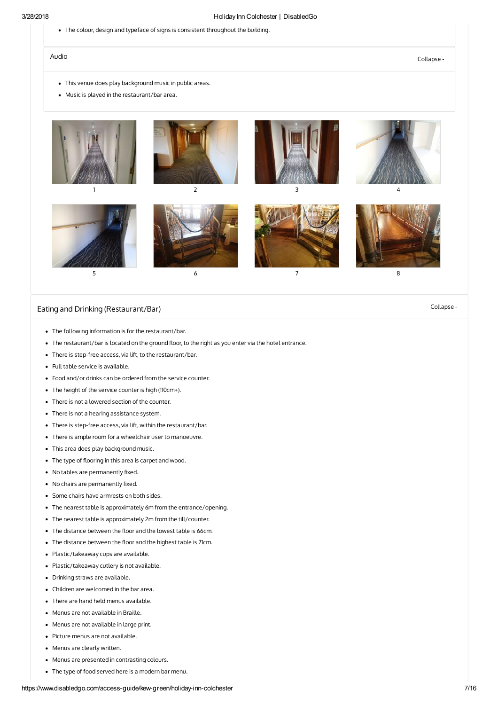The colour, design and typeface of signs is consistent throughout the building.

Audio [Collapse](#page-6-1) -

- <span id="page-6-1"></span>This venue does play background music in public areas.
- Music is played in the restaurant/bar area.









# Eating and Drinking [\(Restaurant/Bar\)](#page-6-0) example and Drinking (Restaurant/Bar) collapse -

- <span id="page-6-0"></span>The following information is for the restaurant/bar.
- The restaurant/bar is located on the ground floor, to the right as you enter via the hotel entrance.
- There is step-free access, via lift, to the restaurant/bar.
- Full table service is available.
- Food and/or drinks can be ordered from the service counter.
- The height of the service counter is high (110cm+).
- There is not a lowered section of the counter.
- There is not a hearing assistance system.
- There is step-free access, via lift, within the restaurant/bar.
- There is ample room for a wheelchair user to manoeuvre.
- This area does play background music.
- The type of flooring in this area is carpet and wood.
- $\bullet$  No tables are permanently fixed.
- No chairs are permanently fixed.
- Some chairs have armrests on both sides.
- The nearest table is approximately 6m from the entrance/opening.
- The nearest table is approximately 2m from the till/counter.
- The distance between the floor and the lowest table is 66cm.
- The distance between the floor and the highest table is 71cm.
- Plastic/takeaway cups are available.
- Plastic/takeaway cutlery is not available.
- Drinking straws are available.
- Children are welcomed in the bar area.
- There are hand held menus available.
- Menus are not available in Braille.
- Menus are not available in large print.
- Picture menus are not available.
- Menus are clearly written.
- Menus are presented in contrasting colours.
- The type of food served here is a modern bar menu.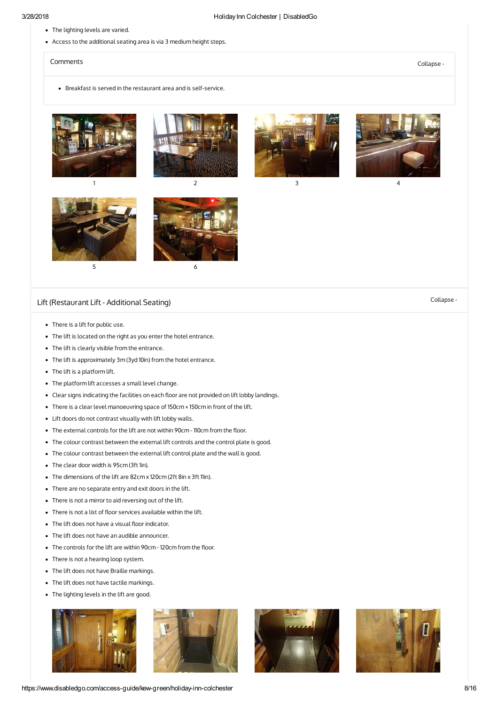- The lighting levels are varied.
- Access to the additional seating area is via 3 medium height steps.

#### [Comments](#page-7-1) Collapse -

<span id="page-7-1"></span>Breakfast is served in the restaurant area and is self-service.





# Lift [\(Restaurant](#page-7-0) Lift - Additional Seating) Collapse -

- <span id="page-7-0"></span>There is a lift for public use.
- The lift is located on the right as you enter the hotel entrance.
- The lift is clearly visible from the entrance.
- The lift is approximately 3m (3yd 10in) from the hotel entrance.
- The lift is a platform lift.
- The platform lift accesses a small level change.
- Clear signs indicating the facilities on each floor are not provided on lift lobby landings.
- There is a clear level manoeuvring space of 150cm × 150cm in front of the lift.
- Lift doors do not contrast visually with lift lobby walls.
- The external controls for the lift are not within 90cm 110cm from the floor.
- The colour contrast between the external lift controls and the control plate is good.
- The colour contrast between the external lift control plate and the wall is good.
- The clear door width is 95cm (3ft 1in).
- The dimensions of the lift are 82cm x 120cm (2ft 8in x 3ft 11in).
- There are no separate entry and exit doors in the lift.
- There is not a mirror to aid reversing out of the lift.
- There is not a list of floor services available within the lift.
- $\bullet$  The lift does not have a visual floor indicator.
- The lift does not have an audible announcer.
- The controls for the lift are within 90cm 120cm from the floor.
- There is not a hearing loop system.
- The lift does not have Braille markings.
- The lift does not have tactile markings.
- The lighting levels in the lift are good.





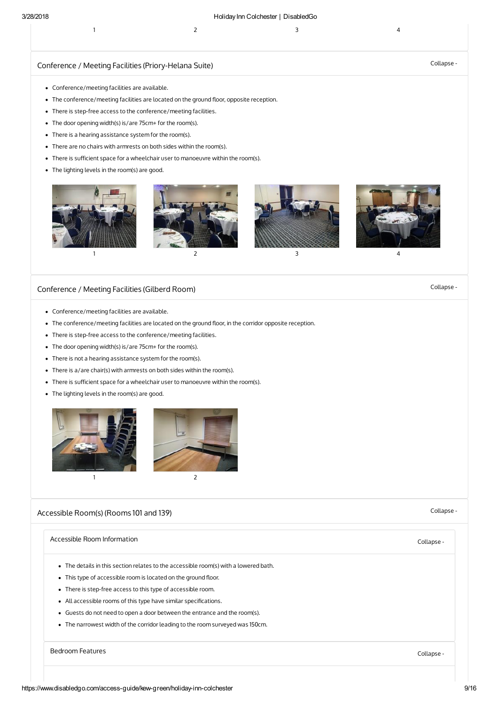#### 3/28/2018 HolidayInn Colchester | DisabledGo

|  | $\overline{2}$ and $\overline{3}$ and $\overline{4}$ |  |
|--|------------------------------------------------------|--|
|  |                                                      |  |

# Conference / Meeting Facilities [\(Priory-Helana](#page-8-0) Suite) Collapse - Collapse - Collapse -

- <span id="page-8-0"></span>Conference/meeting facilities are available.
- The conference/meeting facilities are located on the ground floor, opposite reception.
- There is step-free access to the conference/meeting facilities.
- The door opening width(s) is/are 75cm+ for the room(s).
- There is a hearing assistance system for the room(s).
- There are no chairs with armrests on both sides within the room(s).
- There is sufficient space for a wheelchair user to manoeuvre within the room(s).
- The lighting levels in the room(s) are good.



# <span id="page-8-1"></span>[Conference](#page-8-1) / Meeting Facilities (Gilberd Room) Collapse -

- Conference/meeting facilities are available.
- The conference/meeting facilities are located on the ground floor, in the corridor opposite reception.
- There is step-free access to the conference/meeting facilities.
- The door opening width(s) is/are 75cm+ for the room(s).
- There is not a hearing assistance system for the room(s).
- There is a/are chair(s) with armrests on both sides within the room(s).
- There is sufficient space for a wheelchair user to manoeuvre within the room(s).
- The lighting levels in the room(s) are good.



# [Accessible](#page-8-2) Room(s) (Rooms 101 and 139) Collapse -

<span id="page-8-4"></span><span id="page-8-3"></span><span id="page-8-2"></span>

| Accessible Room Information                                                          | Collapse - |
|--------------------------------------------------------------------------------------|------------|
| • The details in this section relates to the accessible room(s) with a lowered bath. |            |
| • This type of accessible room is located on the ground floor.                       |            |
| • There is step-free access to this type of accessible room.                         |            |
| • All accessible rooms of this type have similar specifications.                     |            |
| • Guests do not need to open a door between the entrance and the room(s).            |            |
| • The narrowest width of the corridor leading to the room surveyed was 150cm.        |            |
|                                                                                      |            |
| Bedroom Features                                                                     | Collapse - |
|                                                                                      |            |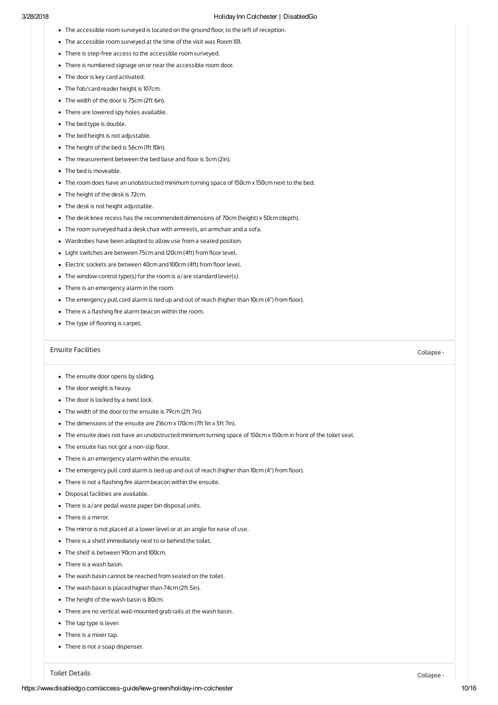- The accessible room surveyed is located on the ground floor, to the left of reception.
- The accessible room surveyed at the time of the visit was Room 101.
- There is step-free access to the accessible room surveyed.
- There is numbered signage on or near the accessible room door.
- The door is key card activated.
- The fob/card reader height is 107cm.
- The width of the door is 75cm (2ft 6in).
- There are lowered spy holes available.
- The bed type is double.
- The bed height is not adjustable.
- The height of the bed is 56cm (1ft 10in).
- $\bullet$  The measurement between the bed base and floor is 5cm (2in).
- The bed is moveable.
- The room does have an unobstructed minimum turning space of 150cm x 150cm next to the bed.
- The height of the desk is 72cm.
- The desk is not height adjustable.
- The desk knee recess has the recommended dimensions of 70cm (height) x 50cm (depth).
- The room surveyed had a desk chair with armrests, an armchair and a sofa.
- Wardrobes have been adapted to allow use from a seated position.
- Light switches are between 75cm and 120cm (4ft) from floor level.
- Electric sockets are between 40cm and 100cm (4ft) from floor level.
- The window control type(s) for the room is a/are standard lever(s).
- There is an emergency alarm in the room.
- The emergency pull cord alarm is tied up and out of reach (higher than 10cm (4") from floor).
- $\bullet$  There is a flashing fire alarm beacon within the room.
- The type of flooring is carpet.

#### Ensuite [Facilities](#page-9-0) Collapse -

- <span id="page-9-0"></span>• The ensuite door opens by sliding.
- The door weight is heavy.
- The door is locked by a twist lock.
- The width of the door to the ensuite is 79cm (2ft 7in).
- The dimensions of the ensuite are 216cm x 170cm (7ft 1in x 5ft 7in).
- The ensuite does not have an unobstructed minimum turning space of 150cm x 150cm in front of the toilet seat.
- $\bullet$  The ensuite has not got a non-slip floor.
- There is an emergency alarm within the ensuite.
- The emergency pull cord alarm is tied up and out of reach (higher than 10cm (4") from floor).
- $\bullet$  There is not a flashing fire alarm beacon within the ensuite.
- Disposal facilities are available.
- There is a/are pedal waste paper bin disposal units.
- There is a mirror.
- The mirror is not placed at a lower level or at an angle for ease of use.
- There is a shelf immediately next to or behind the toilet.
- The shelf is between 90cm and 100cm.
- There is a wash basin.
- The wash basin cannot be reached from seated on the toilet.
- The wash basin is placed higher than 74cm (2ft 5in).
- The height of the wash basin is 80cm.
- There are no vertical wall-mounted grab rails at the wash basin.
- The tap type is lever.
- There is a mixer tap.
- There is not a soap dispenser.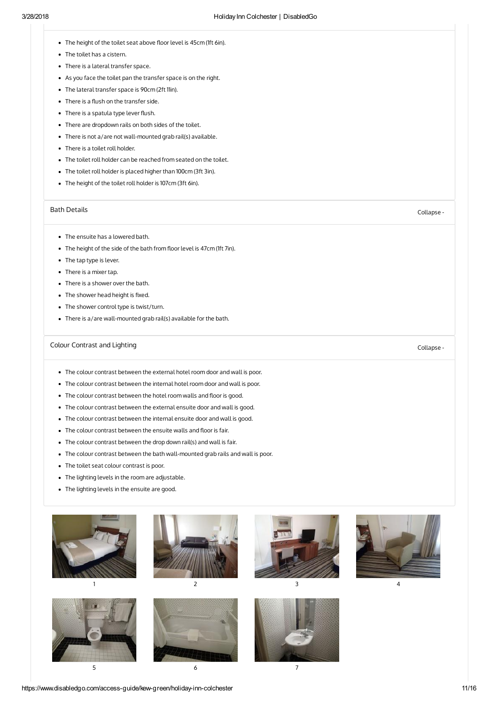- <span id="page-10-0"></span>• The height of the toilet seat above floor level is 45cm (1ft 6in).
- The toilet has a cistern.
- There is a lateral transfer space.
- As you face the toilet pan the transfer space is on the right.
- The lateral transfer space is 90cm (2ft 11in).
- $\bullet$  There is a flush on the transfer side.
- There is a spatula type lever flush.
- There are dropdown rails on both sides of the toilet.
- There is not a/are not wall-mounted grab rail(s) available.
- There is a toilet roll holder.
- The toilet roll holder can be reached from seated on the toilet.
- The toilet roll holder is placed higher than 100cm (3ft 3in).
- The height of the toilet roll holder is 107cm (3ft 6in).

#### Bath [Details](#page-10-1) Collapse -

- <span id="page-10-1"></span>The ensuite has a lowered bath.
- The height of the side of the bath from floor level is 47cm (1ft 7in).
- The tap type is lever.
- There is a mixer tap.
- There is a shower over the bath.
- $\bullet$  The shower head height is fixed.
- The shower control type is twist/turn.
- There is a/are wall-mounted grab rail(s) available for the bath.

# Colour [Contrast](#page-10-2) and Lighting Collapse - Collapse - Collapse - Collapse - Collapse -

- <span id="page-10-2"></span>The colour contrast between the external hotel room door and wall is poor.
- The colour contrast between the internal hotel room door and wall is poor.
- The colour contrast between the hotel room walls and floor is good.
- The colour contrast between the external ensuite door and wall is good.
- The colour contrast between the internal ensuite door and wall is good.
- The colour contrast between the ensuite walls and floor is fair.
- The colour contrast between the drop down rail(s) and wall is fair.
- The colour contrast between the bath wall-mounted grab rails and wall is poor.
- The toilet seat colour contrast is poor.
- The lighting levels in the room are adjustable.
- The lighting levels in the ensuite are good.









1 and  $\begin{array}{ccc} 2 & 3 & 4 \end{array}$ 





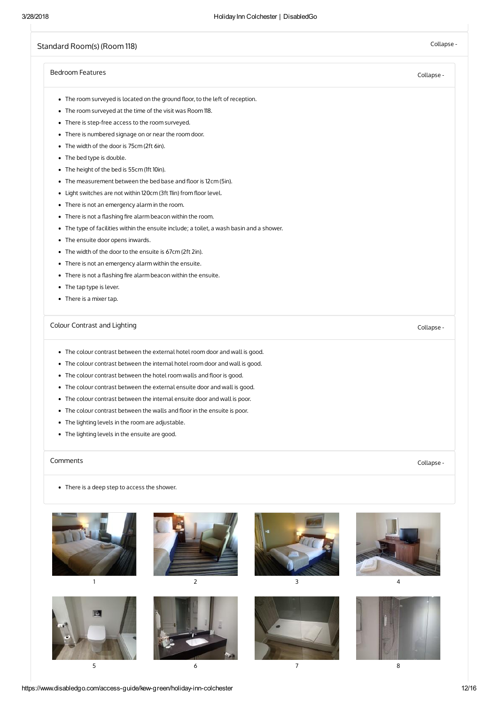# <span id="page-11-0"></span>[Standard](#page-11-0) Room(s) (Room 118) Collapse -

#### [Bedroom](#page-11-1) Features Collapse -

- <span id="page-11-1"></span>• The room surveyed is located on the ground floor, to the left of reception.
- The room surveyed at the time of the visit was Room 118.
- There is step-free access to the room surveyed.
- There is numbered signage on or near the room door.
- The width of the door is 75cm (2ft 6in).
- The bed type is double.
- The height of the bed is 55cm (1ft 10in).
- $\bullet$  The measurement between the bed base and floor is 12cm (5in).
- Light switches are not within 120cm (3ft 11in) from floor level.
- There is not an emergency alarm in the room.
- $\bullet$  There is not a flashing fire alarm beacon within the room.
- The type of facilities within the ensuite include; a toilet, a wash basin and a shower.
- The ensuite door opens inwards.
- The width of the door to the ensuite is 67cm (2ft 2in).
- There is not an emergency alarm within the ensuite.
- $\bullet$  There is not a flashing fire alarm beacon within the ensuite.
- The tap type is lever.
- There is a mixer tap.

# Colour [Contrast](#page-11-2) and Lighting Collapse - Collapse - Collapse - Collapse - Collapse -

- <span id="page-11-2"></span>The colour contrast between the external hotel room door and wall is good.
- The colour contrast between the internal hotel room door and wall is good.
- The colour contrast between the hotel room walls and floor is good.
- The colour contrast between the external ensuite door and wall is good.
- The colour contrast between the internal ensuite door and wall is poor.
- The colour contrast between the walls and floor in the ensuite is poor.
- The lighting levels in the room are adjustable.
- The lighting levels in the ensuite are good.

#### [Comments](#page-11-3) Collapse -

<span id="page-11-3"></span>There is a deep step to access the shower.



 $5$  6 6 7 8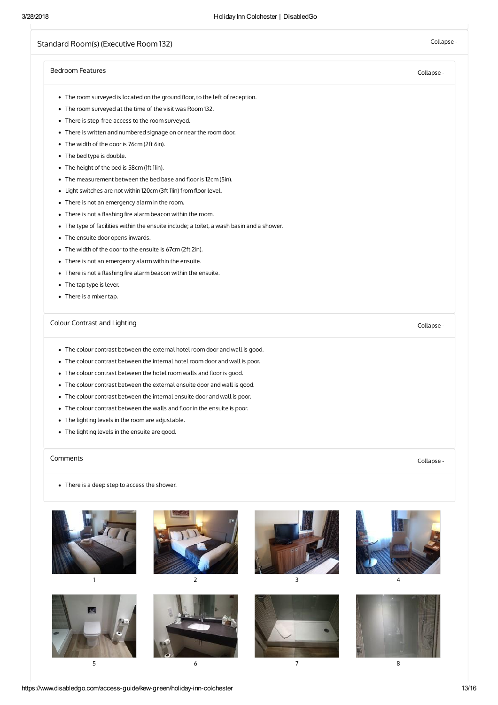# Standard Room(s) [\(Executive](#page-12-0) Room 132) Collapse -

# <span id="page-12-2"></span><span id="page-12-1"></span><span id="page-12-0"></span>[Bedroom](#page-12-1) Features Collapse - Colour [Contrast](#page-12-2) and Lighting Collapse -[Comments](#page-12-3) Collapse - • The room surveyed is located on the ground floor, to the left of reception. The room surveyed at the time of the visit was Room 132. There is step-free access to the room surveyed. There is written and numbered signage on or near the room door. • The width of the door is 76cm (2ft 6in). • The bed type is double. • The height of the bed is 58cm (1ft 11in). • The measurement between the bed base and floor is 12cm (5in). • Light switches are not within 120cm (3ft 11in) from floor level. • There is not an emergency alarm in the room.  $\bullet$  There is not a flashing fire alarm beacon within the room. The type of facilities within the ensuite include; a toilet, a wash basin and a shower. • The ensuite door opens inwards. • The width of the door to the ensuite is 67cm (2ft 2in). There is not an emergency alarm within the ensuite.  $\bullet$  There is not a flashing fire alarm beacon within the ensuite. • The tap type is lever. • There is a mixer tap. The colour contrast between the external hotel room door and wall is good. The colour contrast between the internal hotel room door and wall is poor. • The colour contrast between the hotel room walls and floor is good. The colour contrast between the external ensuite door and wall is good. The colour contrast between the internal ensuite door and wall is poor. • The colour contrast between the walls and floor in the ensuite is poor. The lighting levels in the room are adjustable. • The lighting levels in the ensuite are good. • There is a deep step to access the shower. 1 and  $\begin{array}{ccc} 2 & 3 & 4 \end{array}$

<span id="page-12-3"></span> $5$  6 6 7 8

https://www.disabledgo.com/access-guide/kew-green/holiday-inn-colchester 13/16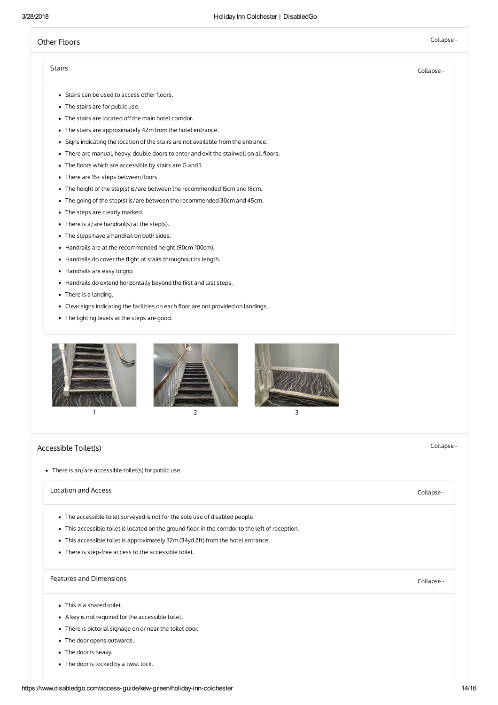# <span id="page-13-0"></span>Other [Floors](#page-13-0) Collapse -

## Stairs [Collapse](#page-13-2) -

- <span id="page-13-2"></span>• Stairs can be used to access other floors.
- The stairs are for public use.
- The stairs are located off the main hotel corridor.
- The stairs are approximately 42m from the hotel entrance.
- Signs indicating the location of the stairs are not available from the entrance.
- There are manual, heavy, double doors to enter and exit the stairwell on all floors.
- The floors which are accessible by stairs are G and 1.
- $\bullet$  There are 15+ steps between floors.
- The height of the step(s) is/are between the recommended 15cm and 18cm.
- The going of the step(s) is/are between the recommended 30cm and 45cm.
- The steps are clearly marked.
- There is a/are handrail(s) at the step(s).
- The steps have a handrail on both sides.
- Handrails are at the recommended height (90cm-100cm).
- Handrails do cover the flight of stairs throughout its length.
- Handrails are easy to grip.
- Handrails do extend horizontally beyond the first and last steps.
- There is a landing.
- Clear signs indicating the facilities on each floor are not provided on landings.
- The lighting levels at the steps are good.



# <span id="page-13-1"></span>[Accessible](#page-13-1) Toilet(s) Collapse -

There is an/are accessible toilet(s) for public use.

#### [Location](#page-13-3) and Access Collapse -

- <span id="page-13-3"></span>The accessible toilet surveyed is not for the sole use of disabled people.
- This accessible toilet is located on the ground floor, in the corridor to the left of reception.
- This accessible toilet is approximately 32m (34yd 2ft) from the hotel entrance.
- There is step-free access to the accessible toilet.

# Features and [Dimensions](#page-13-4) **Collapse** -

- <span id="page-13-4"></span>This is a shared toilet.
- A key is not required for the accessible toilet.
- There is pictorial signage on or near the toilet door.
- The door opens outwards.
- The door is heavy.
- The door is locked by a twist lock.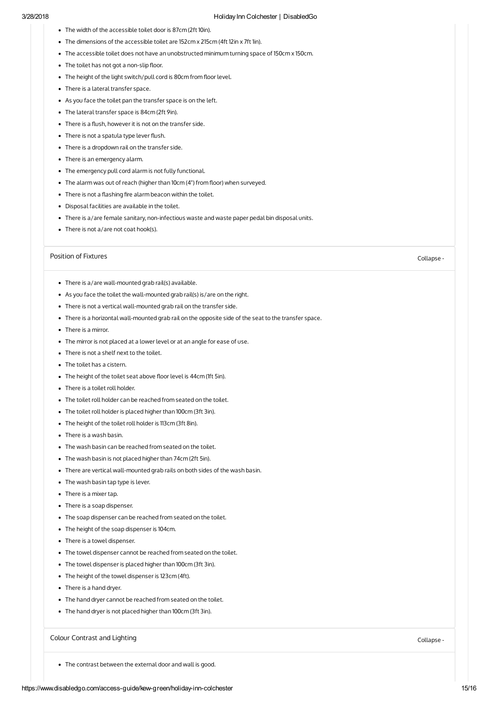- The width of the accessible toilet door is 87cm (2ft 10in).
- The dimensions of the accessible toilet are 152cm x 215cm (4ft 12in x 7ft 1in).
- The accessible toilet does not have an unobstructed minimum turning space of 150cm x 150cm.
- The toilet has not got a non-slip floor.
- The height of the light switch/pull cord is 80cm from floor level.
- There is a lateral transfer space.
- As you face the toilet pan the transfer space is on the left.
- The lateral transfer space is 84cm (2ft 9in).
- $\bullet$  There is a flush, however it is not on the transfer side.
- There is not a spatula type lever flush.
- There is a dropdown rail on the transfer side.
- There is an emergency alarm.
- The emergency pull cord alarm is not fully functional.
- $\bullet$  The alarm was out of reach (higher than 10cm (4") from floor) when surveyed.
- $\bullet$  There is not a flashing fire alarm beacon within the toilet.
- Disposal facilities are available in the toilet.
- There is a/are female sanitary, non-infectious waste and waste paper pedal bin disposal units.
- There is not a/are not coat hook(s).

#### Position of [Fixtures](#page-14-0) Collapse -

- <span id="page-14-0"></span>There is a/are wall-mounted grab rail(s) available.
- As you face the toilet the wall-mounted grab rail(s) is/are on the right.
- There is not a vertical wall-mounted grab rail on the transfer side.
- There is a horizontal wall-mounted grab rail on the opposite side of the seat to the transfer space.
- There is a mirror.
- The mirror is not placed at a lower level or at an angle for ease of use.
- There is not a shelf next to the toilet.
- The toilet has a cistern.
- The height of the toilet seat above floor level is 44cm (1ft 5in).
- There is a toilet roll holder.
- The toilet roll holder can be reached from seated on the toilet.
- The toilet roll holder is placed higher than 100cm (3ft 3in).
- The height of the toilet roll holder is 113cm (3ft 8in).
- There is a wash basin.
- The wash basin can be reached from seated on the toilet.
- The wash basin is not placed higher than 74cm (2ft 5in).
- There are vertical wall-mounted grab rails on both sides of the wash basin.
- The wash basin tap type is lever.
- There is a mixer tap.
- There is a soap dispenser.
- The soap dispenser can be reached from seated on the toilet.
- The height of the soap dispenser is 104cm.
- There is a towel dispenser.
- The towel dispenser cannot be reached from seated on the toilet.
- The towel dispenser is placed higher than 100cm (3ft 3in).
- The height of the towel dispenser is 123cm (4ft).
- There is a hand dryer.
- The hand dryer cannot be reached from seated on the toilet.
- The hand dryer is not placed higher than 100cm (3ft 3in).

## Colour [Contrast](#page-14-1) and Lighting Collapse - Collapse - Collapse - Collapse - Collapse -

<span id="page-14-1"></span>The contrast between the external door and wall is good.